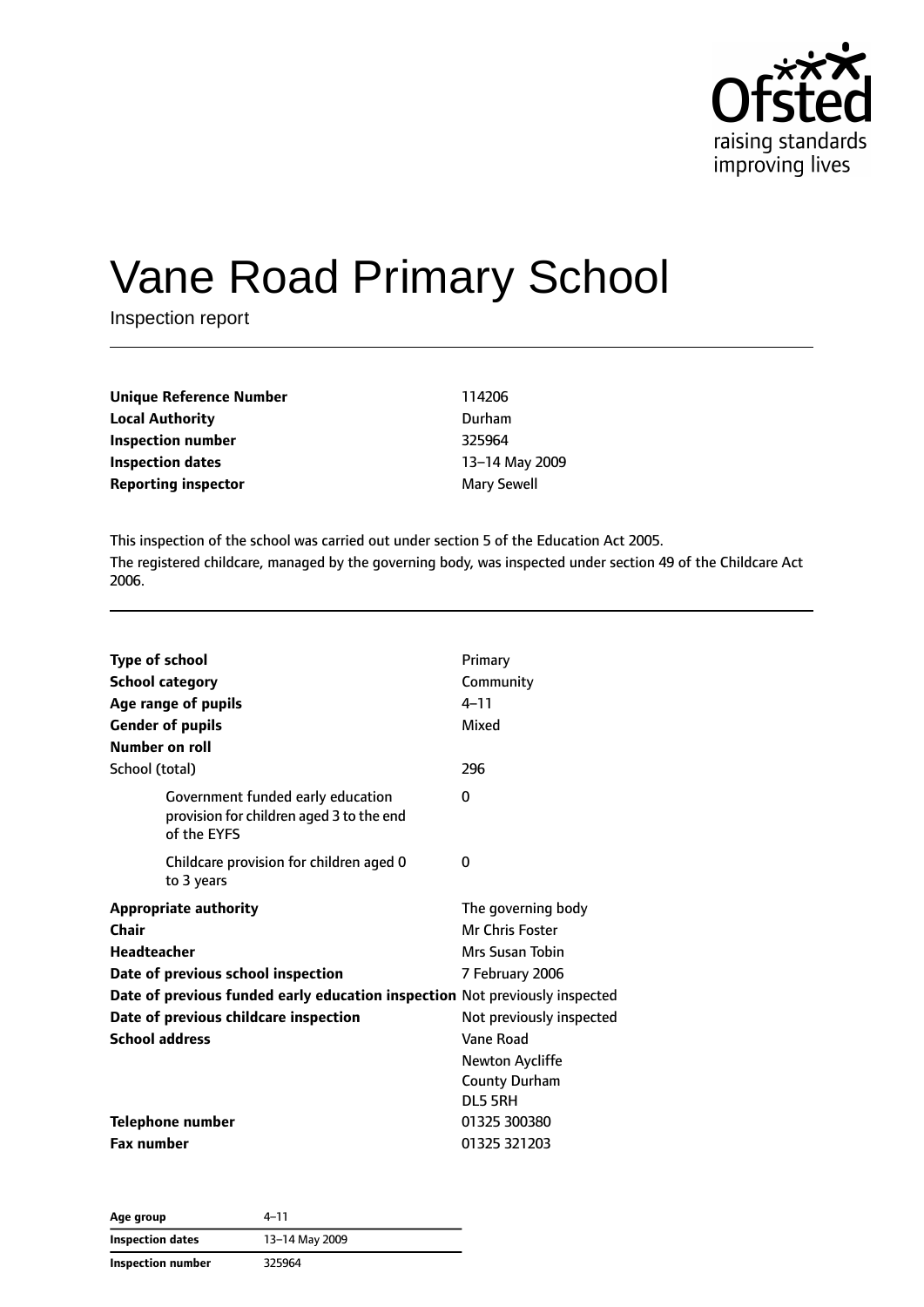

# Vane Road Primary School

Inspection report

| 114206         |
|----------------|
| Durham         |
| 325964         |
| 13-14 May 2009 |
| Mary Sewell    |
|                |

This inspection of the school was carried out under section 5 of the Education Act 2005. The registered childcare, managed by the governing body, was inspected under section 49 of the Childcare Act 2006.

| <b>Type of school</b><br><b>School category</b><br>Age range of pupils<br><b>Gender of pupils</b><br>Number on roll | Primary<br>Community<br>$4 - 11$<br>Mixed |
|---------------------------------------------------------------------------------------------------------------------|-------------------------------------------|
| School (total)                                                                                                      | 296                                       |
| Government funded early education<br>provision for children aged 3 to the end<br>of the EYFS                        | 0                                         |
| Childcare provision for children aged 0<br>to 3 years                                                               | 0                                         |
| <b>Appropriate authority</b>                                                                                        | The governing body                        |
| Chair                                                                                                               | Mr Chris Foster                           |
| <b>Headteacher</b>                                                                                                  | Mrs Susan Tobin                           |
| Date of previous school inspection                                                                                  | 7 February 2006                           |
| Date of previous funded early education inspection Not previously inspected                                         |                                           |
| Date of previous childcare inspection                                                                               | Not previously inspected                  |
| <b>School address</b>                                                                                               | Vane Road                                 |
|                                                                                                                     | Newton Aycliffe                           |
|                                                                                                                     | <b>County Durham</b>                      |
|                                                                                                                     | DL5 5RH                                   |
| Telephone number                                                                                                    | 01325 300380                              |
| <b>Fax number</b>                                                                                                   | 01325 321203                              |

| Age group               | 4-11           |  |
|-------------------------|----------------|--|
| <b>Inspection dates</b> | 13-14 May 2009 |  |
| Inspection number       | 325964         |  |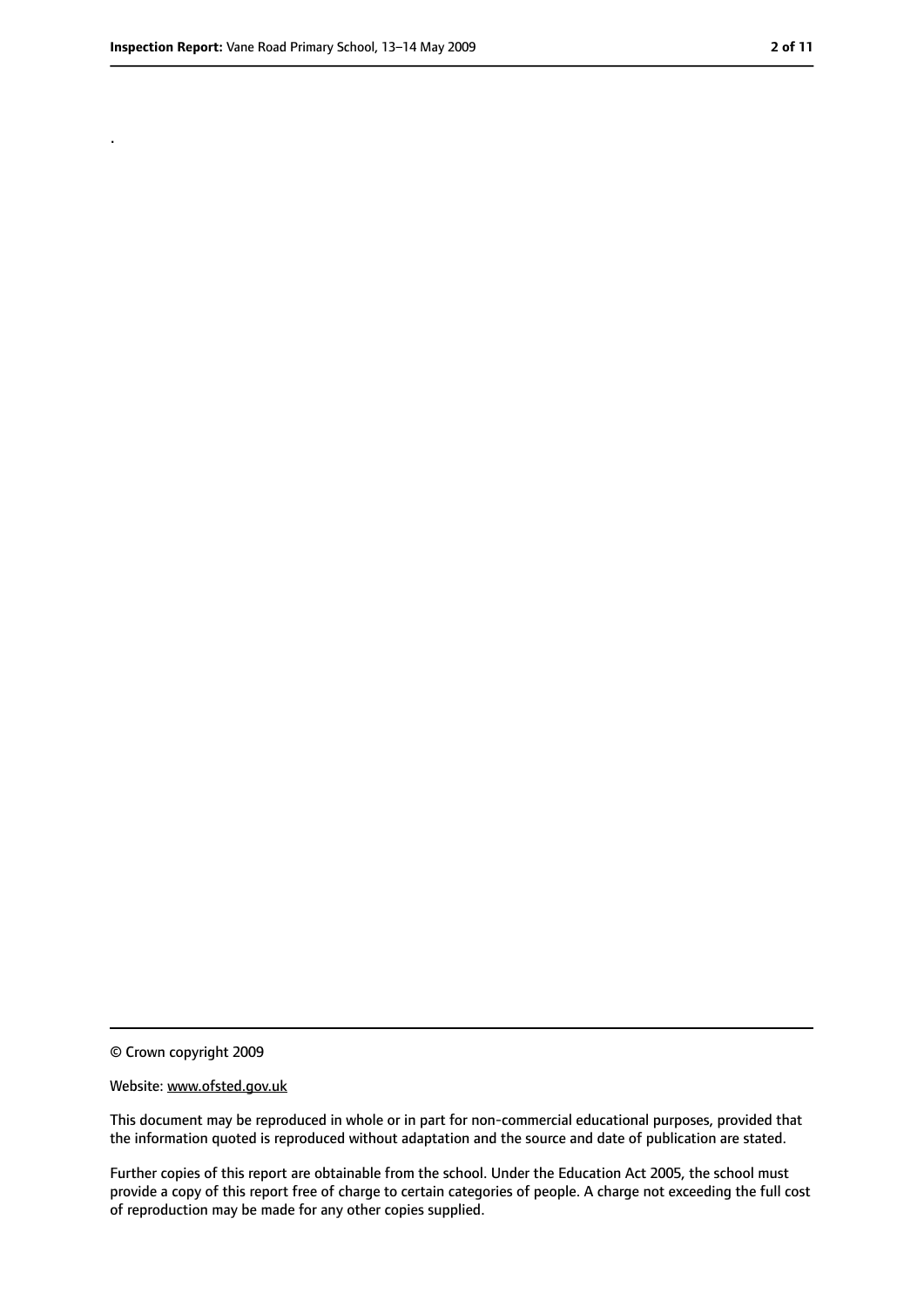.

<sup>©</sup> Crown copyright 2009

Website: www.ofsted.gov.uk

This document may be reproduced in whole or in part for non-commercial educational purposes, provided that the information quoted is reproduced without adaptation and the source and date of publication are stated.

Further copies of this report are obtainable from the school. Under the Education Act 2005, the school must provide a copy of this report free of charge to certain categories of people. A charge not exceeding the full cost of reproduction may be made for any other copies supplied.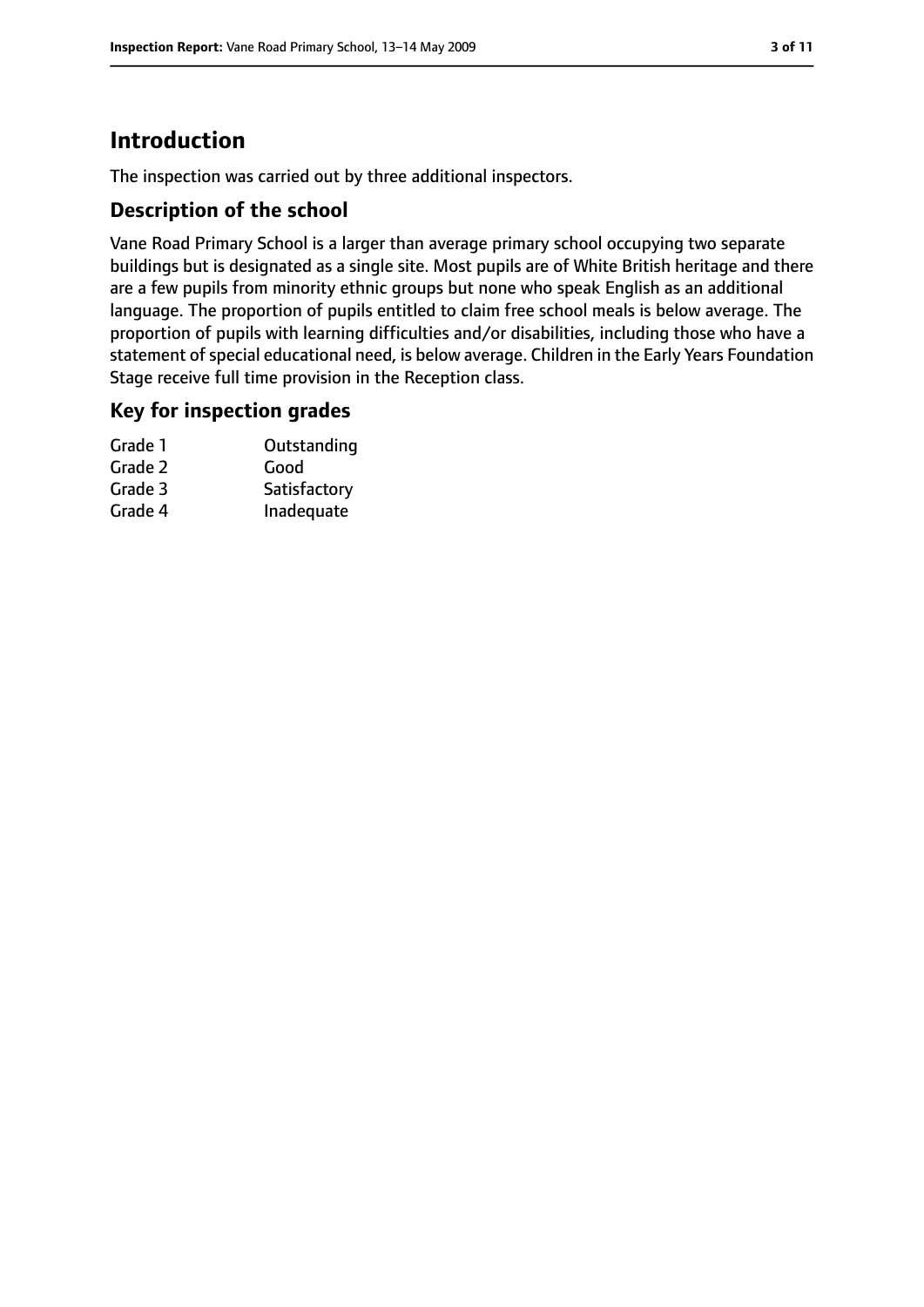# **Introduction**

The inspection was carried out by three additional inspectors.

#### **Description of the school**

Vane Road Primary School is a larger than average primary school occupying two separate buildings but is designated as a single site. Most pupils are of White British heritage and there are a few pupils from minority ethnic groups but none who speak English as an additional language. The proportion of pupils entitled to claim free school meals is below average. The proportion of pupils with learning difficulties and/or disabilities, including those who have a statement of special educational need, is below average. Children in the Early Years Foundation Stage receive full time provision in the Reception class.

#### **Key for inspection grades**

| Outstanding  |
|--------------|
| Good         |
| Satisfactory |
| Inadequate   |
|              |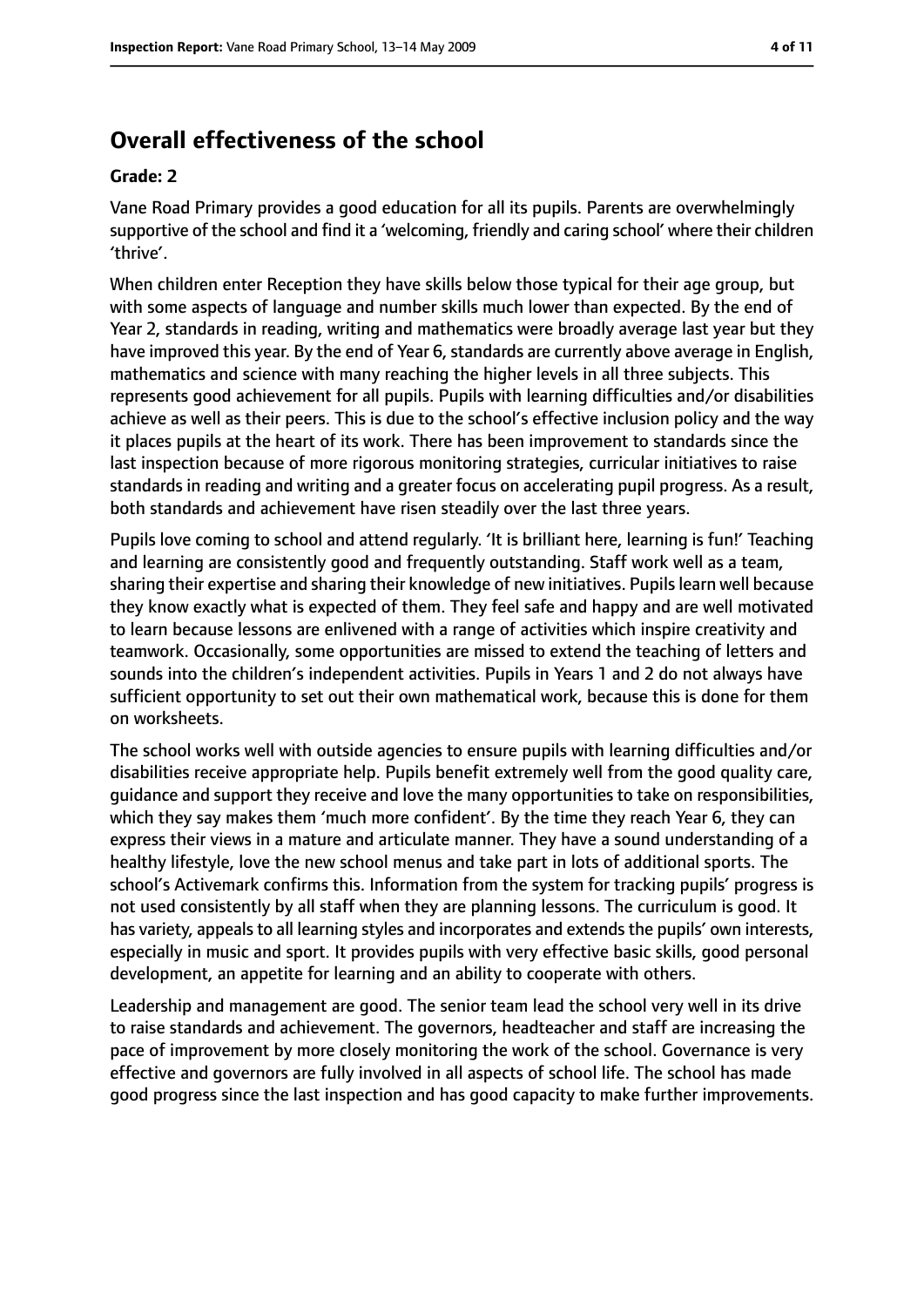# **Overall effectiveness of the school**

#### **Grade: 2**

Vane Road Primary provides a good education for all its pupils. Parents are overwhelmingly supportive of the school and find it a 'welcoming, friendly and caring school' where their children 'thrive'.

When children enter Reception they have skills below those typical for their age group, but with some aspects of language and number skills much lower than expected. By the end of Year 2, standards in reading, writing and mathematics were broadly average last year but they have improved this year. By the end of Year 6, standards are currently above average in English, mathematics and science with many reaching the higher levels in all three subjects. This represents good achievement for all pupils. Pupils with learning difficulties and/or disabilities achieve as well as their peers. This is due to the school's effective inclusion policy and the way it places pupils at the heart of its work. There has been improvement to standards since the last inspection because of more rigorous monitoring strategies, curricular initiatives to raise standards in reading and writing and a greater focus on accelerating pupil progress. As a result, both standards and achievement have risen steadily over the last three years.

Pupils love coming to school and attend regularly. 'It is brilliant here, learning is fun!' Teaching and learning are consistently good and frequently outstanding. Staff work well as a team, sharing their expertise and sharing their knowledge of new initiatives. Pupils learn well because they know exactly what is expected of them. They feel safe and happy and are well motivated to learn because lessons are enlivened with a range of activities which inspire creativity and teamwork. Occasionally, some opportunities are missed to extend the teaching of letters and sounds into the children's independent activities. Pupils in Years 1 and 2 do not always have sufficient opportunity to set out their own mathematical work, because this is done for them on worksheets.

The school works well with outside agencies to ensure pupils with learning difficulties and/or disabilities receive appropriate help. Pupils benefit extremely well from the good quality care, guidance and support they receive and love the many opportunities to take on responsibilities, which they say makes them 'much more confident'. By the time they reach Year 6, they can express their views in a mature and articulate manner. They have a sound understanding of a healthy lifestyle, love the new school menus and take part in lots of additional sports. The school's Activemark confirms this. Information from the system for tracking pupils' progress is not used consistently by all staff when they are planning lessons. The curriculum is good. It has variety, appeals to all learning styles and incorporates and extends the pupils' own interests, especially in music and sport. It provides pupils with very effective basic skills, good personal development, an appetite for learning and an ability to cooperate with others.

Leadership and management are good. The senior team lead the school very well in its drive to raise standards and achievement. The governors, headteacher and staff are increasing the pace of improvement by more closely monitoring the work of the school. Governance is very effective and governors are fully involved in all aspects of school life. The school has made good progress since the last inspection and has good capacity to make further improvements.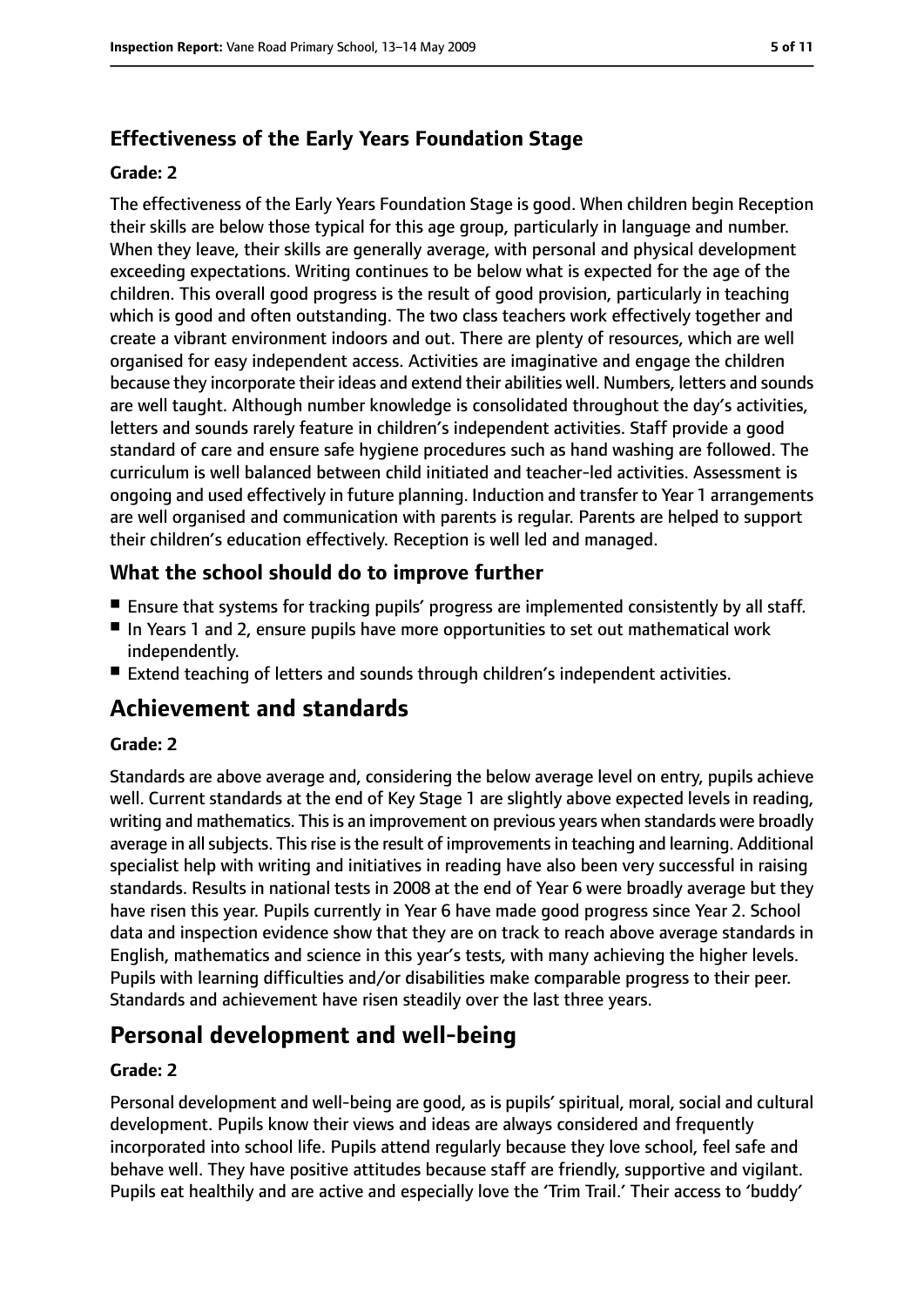### **Effectiveness of the Early Years Foundation Stage**

#### **Grade: 2**

The effectiveness of the Early Years Foundation Stage is good. When children begin Reception their skills are below those typical for this age group, particularly in language and number. When they leave, their skills are generally average, with personal and physical development exceeding expectations. Writing continues to be below what is expected for the age of the children. This overall good progress is the result of good provision, particularly in teaching which is good and often outstanding. The two class teachers work effectively together and create a vibrant environment indoors and out. There are plenty of resources, which are well organised for easy independent access. Activities are imaginative and engage the children because they incorporate their ideas and extend their abilities well. Numbers, letters and sounds are well taught. Although number knowledge is consolidated throughout the day's activities, letters and sounds rarely feature in children's independent activities. Staff provide a good standard of care and ensure safe hygiene procedures such as hand washing are followed. The curriculum is well balanced between child initiated and teacher-led activities. Assessment is ongoing and used effectively in future planning. Induction and transfer to Year 1 arrangements are well organised and communication with parents is regular. Parents are helped to support their children's education effectively. Reception is well led and managed.

#### **What the school should do to improve further**

- Ensure that systems for tracking pupils' progress are implemented consistently by all staff.
- In Years 1 and 2, ensure pupils have more opportunities to set out mathematical work independently.
- Extend teaching of letters and sounds through children's independent activities.

# **Achievement and standards**

#### **Grade: 2**

Standards are above average and, considering the below average level on entry, pupils achieve well. Current standards at the end of Key Stage 1 are slightly above expected levels in reading, writing and mathematics. This is an improvement on previous years when standards were broadly average in all subjects. This rise is the result of improvements in teaching and learning. Additional specialist help with writing and initiatives in reading have also been very successful in raising standards. Results in national tests in 2008 at the end of Year 6 were broadly average but they have risen this year. Pupils currently in Year 6 have made good progress since Year 2. School data and inspection evidence show that they are on track to reach above average standards in English, mathematics and science in this year's tests, with many achieving the higher levels. Pupils with learning difficulties and/or disabilities make comparable progress to their peer. Standards and achievement have risen steadily over the last three years.

# **Personal development and well-being**

#### **Grade: 2**

Personal development and well-being are good, as is pupils' spiritual, moral, social and cultural development. Pupils know their views and ideas are always considered and frequently incorporated into school life. Pupils attend regularly because they love school, feel safe and behave well. They have positive attitudes because staff are friendly, supportive and vigilant. Pupils eat healthily and are active and especially love the 'Trim Trail.' Their access to 'buddy'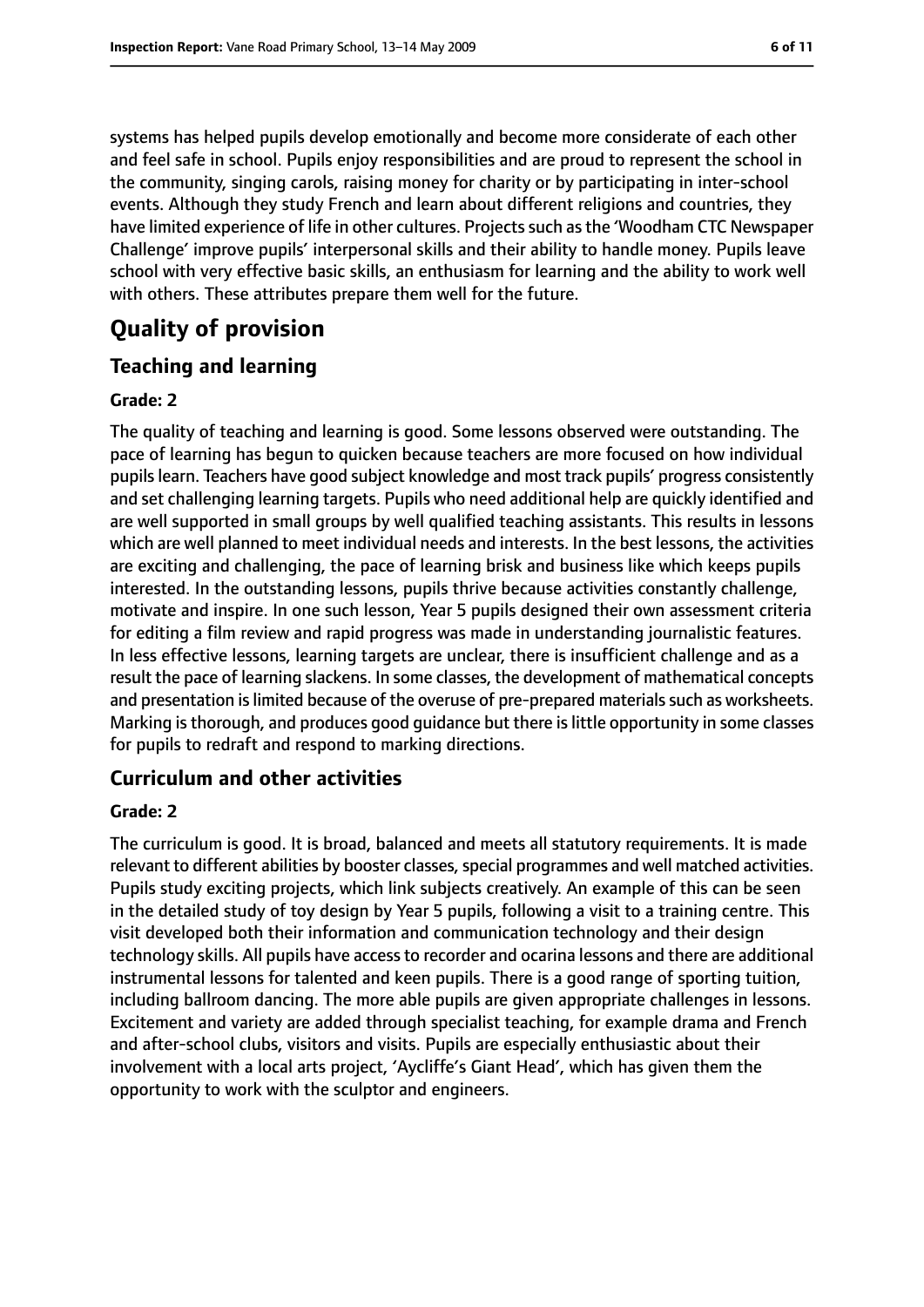systems has helped pupils develop emotionally and become more considerate of each other and feel safe in school. Pupils enjoy responsibilities and are proud to represent the school in the community, singing carols, raising money for charity or by participating in inter-school events. Although they study French and learn about different religions and countries, they have limited experience of life in other cultures. Projects such as the 'Woodham CTC Newspaper Challenge' improve pupils' interpersonal skills and their ability to handle money. Pupils leave school with very effective basic skills, an enthusiasm for learning and the ability to work well with others. These attributes prepare them well for the future.

# **Quality of provision**

#### **Teaching and learning**

#### **Grade: 2**

The quality of teaching and learning is good. Some lessons observed were outstanding. The pace of learning has begun to quicken because teachers are more focused on how individual pupils learn. Teachers have good subject knowledge and most track pupils' progress consistently and set challenging learning targets. Pupils who need additional help are quickly identified and are well supported in small groups by well qualified teaching assistants. This results in lessons which are well planned to meet individual needs and interests. In the best lessons, the activities are exciting and challenging, the pace of learning brisk and business like which keeps pupils interested. In the outstanding lessons, pupils thrive because activities constantly challenge, motivate and inspire. In one such lesson, Year 5 pupils designed their own assessment criteria for editing a film review and rapid progress was made in understanding journalistic features. In less effective lessons, learning targets are unclear, there is insufficient challenge and as a result the pace of learning slackens. In some classes, the development of mathematical concepts and presentation is limited because of the overuse of pre-prepared materials such as worksheets. Marking isthorough, and produces good guidance but there islittle opportunity in some classes for pupils to redraft and respond to marking directions.

#### **Curriculum and other activities**

#### **Grade: 2**

The curriculum is good. It is broad, balanced and meets all statutory requirements. It is made relevant to different abilities by booster classes, special programmes and well matched activities. Pupils study exciting projects, which link subjects creatively. An example of this can be seen in the detailed study of toy design by Year 5 pupils, following a visit to a training centre. This visit developed both their information and communication technology and their design technology skills. All pupils have accessto recorder and ocarina lessons and there are additional instrumental lessons for talented and keen pupils. There is a good range of sporting tuition, including ballroom dancing. The more able pupils are given appropriate challenges in lessons. Excitement and variety are added through specialist teaching, for example drama and French and after-school clubs, visitors and visits. Pupils are especially enthusiastic about their involvement with a local arts project, 'Aycliffe's Giant Head', which has given them the opportunity to work with the sculptor and engineers.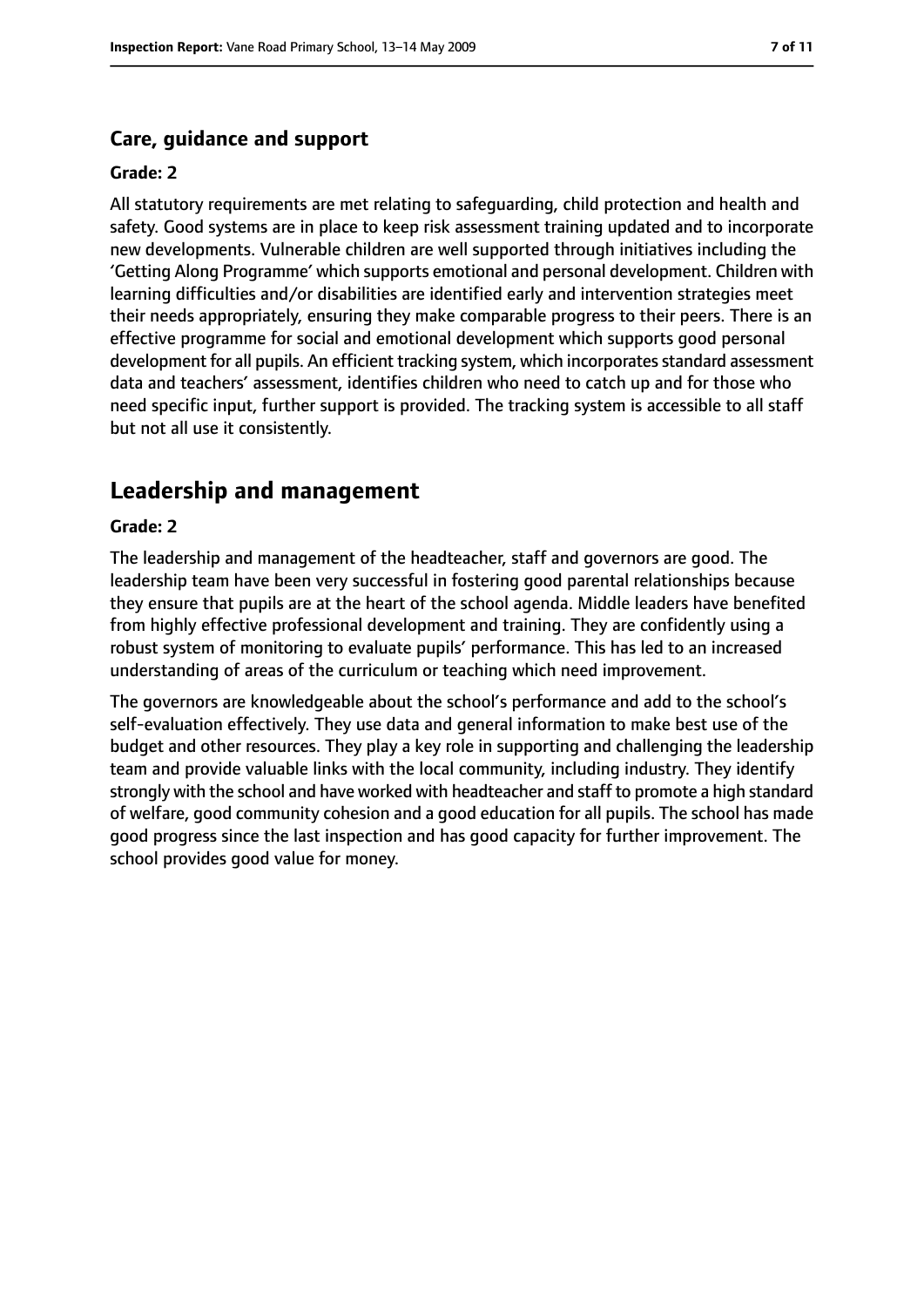#### **Care, guidance and support**

#### **Grade: 2**

All statutory requirements are met relating to safeguarding, child protection and health and safety. Good systems are in place to keep risk assessment training updated and to incorporate new developments. Vulnerable children are well supported through initiatives including the 'Getting Along Programme' which supports emotional and personal development. Children with learning difficulties and/or disabilities are identified early and intervention strategies meet their needs appropriately, ensuring they make comparable progress to their peers. There is an effective programme for social and emotional development which supports good personal development for all pupils. An efficient tracking system, which incorporates standard assessment data and teachers' assessment, identifies children who need to catch up and for those who need specific input, further support is provided. The tracking system is accessible to all staff but not all use it consistently.

# **Leadership and management**

#### **Grade: 2**

The leadership and management of the headteacher, staff and governors are good. The leadership team have been very successful in fostering good parental relationships because they ensure that pupils are at the heart of the school agenda. Middle leaders have benefited from highly effective professional development and training. They are confidently using a robust system of monitoring to evaluate pupils' performance. This has led to an increased understanding of areas of the curriculum or teaching which need improvement.

The governors are knowledgeable about the school's performance and add to the school's self-evaluation effectively. They use data and general information to make best use of the budget and other resources. They play a key role in supporting and challenging the leadership team and provide valuable links with the local community, including industry. They identify strongly with the school and have worked with headteacher and staff to promote a high standard of welfare, good community cohesion and a good education for all pupils. The school has made good progress since the last inspection and has good capacity for further improvement. The school provides good value for money.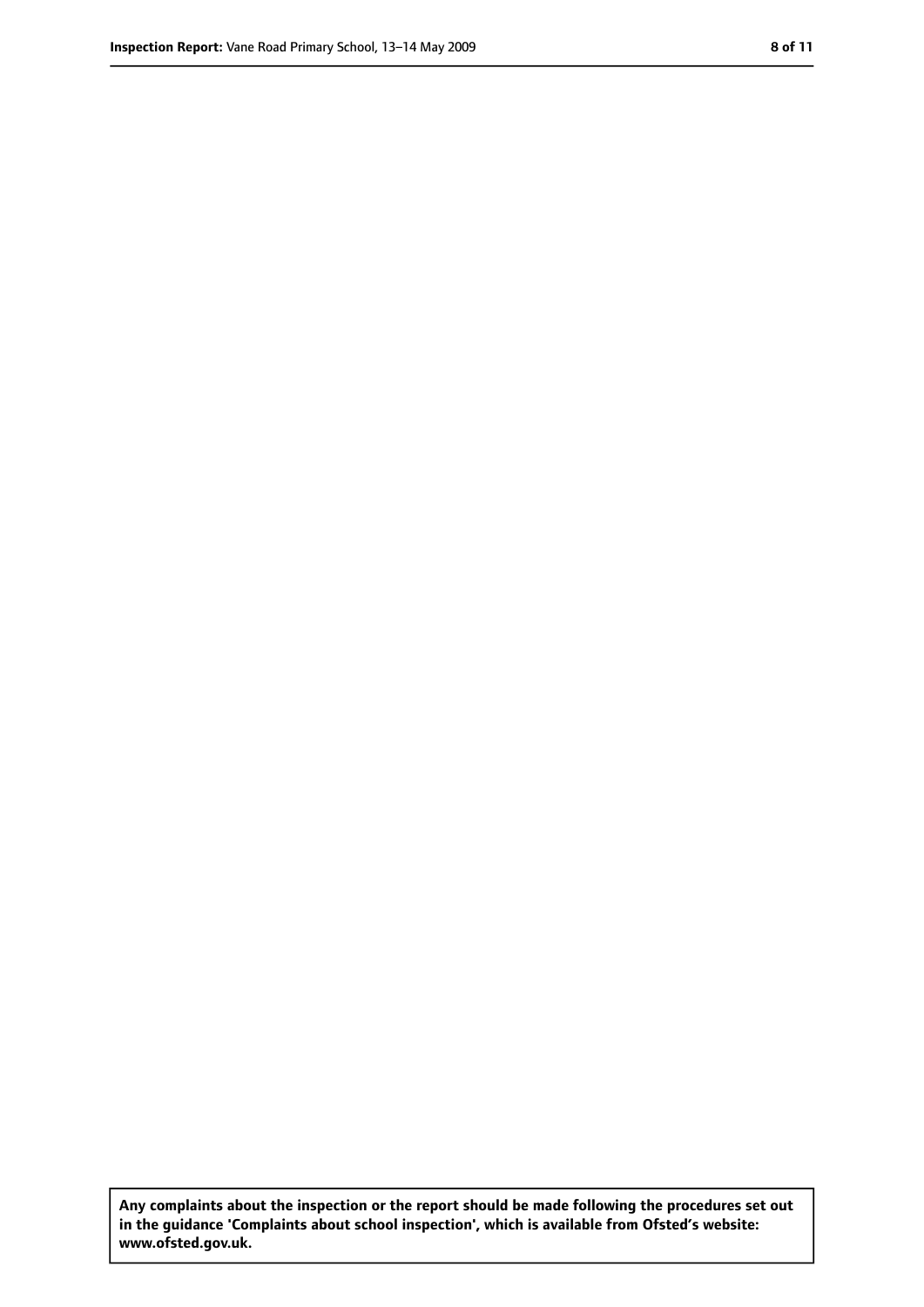**Any complaints about the inspection or the report should be made following the procedures set out in the guidance 'Complaints about school inspection', which is available from Ofsted's website: www.ofsted.gov.uk.**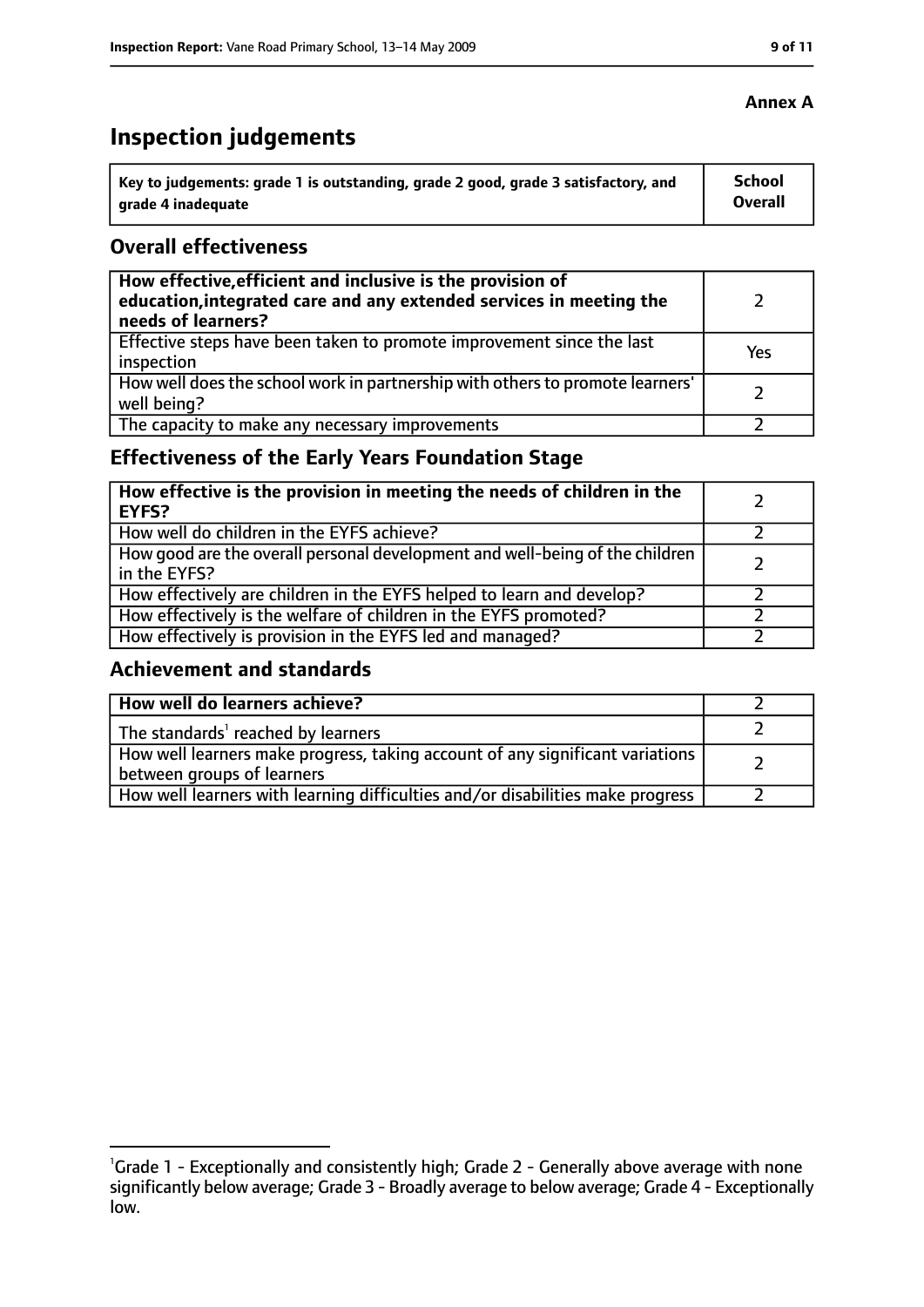# **Inspection judgements**

| key to judgements: grade 1 is outstanding, grade 2 good, grade 3 satisfactory, and ا | School         |
|--------------------------------------------------------------------------------------|----------------|
| arade 4 inadequate                                                                   | <b>Overall</b> |

#### **Overall effectiveness**

| How effective, efficient and inclusive is the provision of<br>education, integrated care and any extended services in meeting the<br>needs of learners? |     |
|---------------------------------------------------------------------------------------------------------------------------------------------------------|-----|
| Effective steps have been taken to promote improvement since the last<br>inspection                                                                     | Yes |
| How well does the school work in partnership with others to promote learners'<br>well being?                                                            |     |
| The capacity to make any necessary improvements                                                                                                         |     |

# **Effectiveness of the Early Years Foundation Stage**

| How effective is the provision in meeting the needs of children in the<br>l EYFS?            |  |
|----------------------------------------------------------------------------------------------|--|
| How well do children in the EYFS achieve?                                                    |  |
| How good are the overall personal development and well-being of the children<br>in the EYFS? |  |
| How effectively are children in the EYFS helped to learn and develop?                        |  |
| How effectively is the welfare of children in the EYFS promoted?                             |  |
| How effectively is provision in the EYFS led and managed?                                    |  |

#### **Achievement and standards**

| How well do learners achieve?                                                                               |  |
|-------------------------------------------------------------------------------------------------------------|--|
| The standards <sup>1</sup> reached by learners                                                              |  |
| How well learners make progress, taking account of any significant variations<br>between groups of learners |  |
| How well learners with learning difficulties and/or disabilities make progress                              |  |

#### **Annex A**

<sup>&</sup>lt;sup>1</sup>Grade 1 - Exceptionally and consistently high; Grade 2 - Generally above average with none significantly below average; Grade 3 - Broadly average to below average; Grade 4 - Exceptionally low.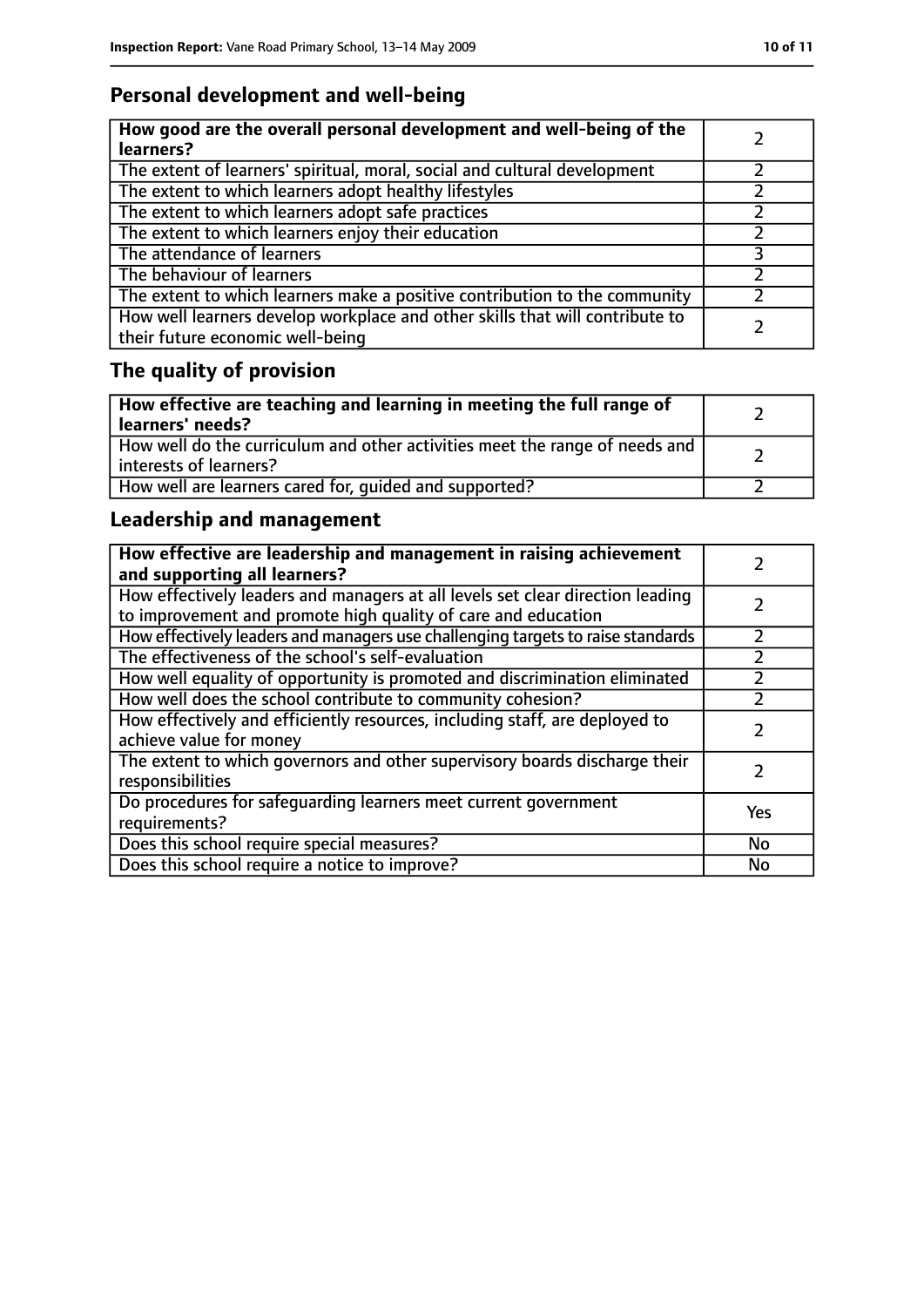# **Personal development and well-being**

| How good are the overall personal development and well-being of the<br>learners?                                 |  |
|------------------------------------------------------------------------------------------------------------------|--|
| The extent of learners' spiritual, moral, social and cultural development                                        |  |
| The extent to which learners adopt healthy lifestyles                                                            |  |
| The extent to which learners adopt safe practices                                                                |  |
| The extent to which learners enjoy their education                                                               |  |
| The attendance of learners                                                                                       |  |
| The behaviour of learners                                                                                        |  |
| The extent to which learners make a positive contribution to the community                                       |  |
| How well learners develop workplace and other skills that will contribute to<br>their future economic well-being |  |

# **The quality of provision**

| How effective are teaching and learning in meeting the full range of<br>learners' needs?              |  |
|-------------------------------------------------------------------------------------------------------|--|
| How well do the curriculum and other activities meet the range of needs and<br>interests of learners? |  |
| How well are learners cared for, quided and supported?                                                |  |

# **Leadership and management**

| How effective are leadership and management in raising achievement<br>and supporting all learners?                                              |     |
|-------------------------------------------------------------------------------------------------------------------------------------------------|-----|
| How effectively leaders and managers at all levels set clear direction leading<br>to improvement and promote high quality of care and education |     |
| How effectively leaders and managers use challenging targets to raise standards                                                                 |     |
| The effectiveness of the school's self-evaluation                                                                                               |     |
| How well equality of opportunity is promoted and discrimination eliminated                                                                      |     |
| How well does the school contribute to community cohesion?                                                                                      | フ   |
| How effectively and efficiently resources, including staff, are deployed to<br>achieve value for money                                          |     |
| The extent to which governors and other supervisory boards discharge their<br>responsibilities                                                  |     |
| Do procedures for safequarding learners meet current government<br>requirements?                                                                | Yes |
| Does this school require special measures?                                                                                                      | No  |
| Does this school require a notice to improve?                                                                                                   | No  |